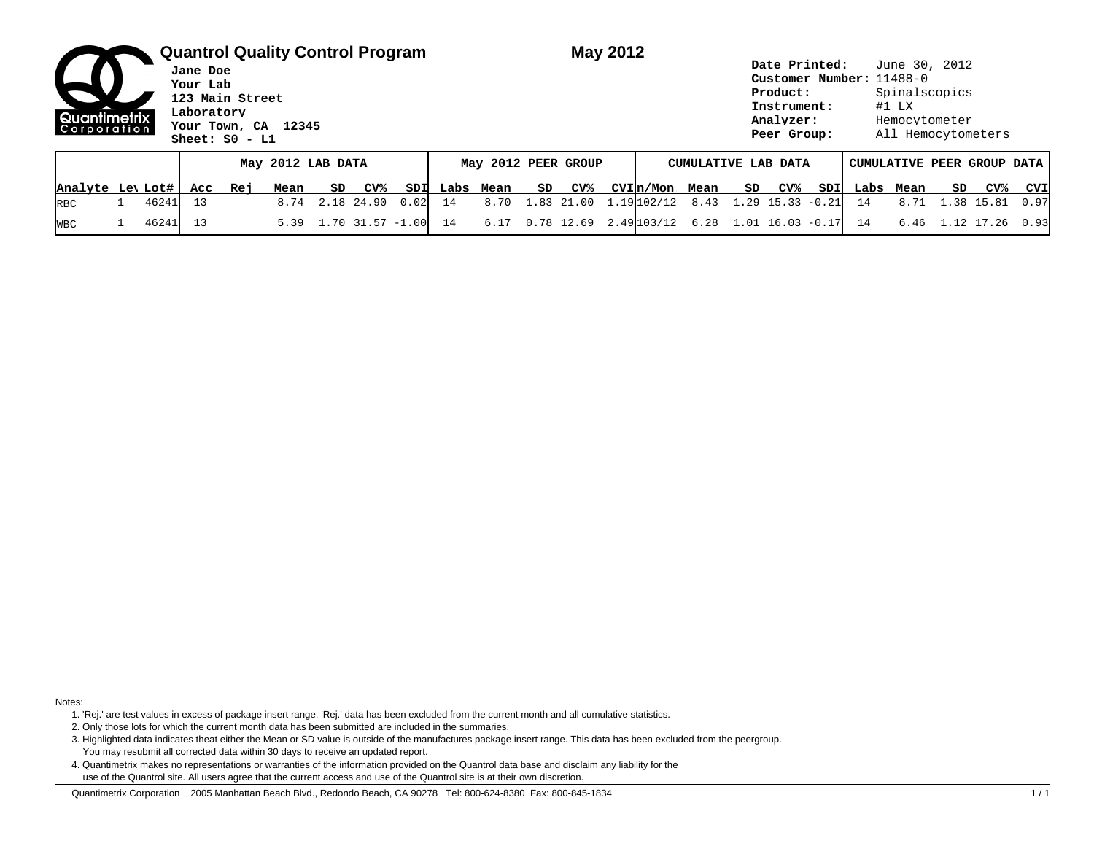|                  | <b>Quantrol Quality Control Program</b><br>Jane Doe<br>Your Lab<br>123 Main Street<br>Laboratory<br>Quantimetrix<br>Your Town, CA 12345<br> Corporation <br>Sheet: $S0 - L1$ |       |     |     |      |    |            |                     |  | May 2012  |    |            |                     |                                        | Date Printed:<br>Customer Number: 11488-0<br>Product:<br>Instrument:<br>Analyzer:<br>Peer Group: |    |            |                            |           | June 30, 2012<br>Spinalscopics<br>$#1$ LX<br>Hemocytometer<br>All Hemocytometers |    |            |      |  |  |
|------------------|------------------------------------------------------------------------------------------------------------------------------------------------------------------------------|-------|-----|-----|------|----|------------|---------------------|--|-----------|----|------------|---------------------|----------------------------------------|--------------------------------------------------------------------------------------------------|----|------------|----------------------------|-----------|----------------------------------------------------------------------------------|----|------------|------|--|--|
|                  | May 2012 LAB DATA                                                                                                                                                            |       |     |     |      |    |            | May 2012 PEER GROUP |  |           |    |            | CUMULATIVE LAB DATA |                                        |                                                                                                  |    |            | CUMULATIVE PEER GROUP DATA |           |                                                                                  |    |            |      |  |  |
| Analyte Lev Lot# |                                                                                                                                                                              |       | Acc | Rej | Mean | SD | CV%        | SDI                 |  | Labs Mean | SD | CV%        |                     | CVIn/Mon Mean                          |                                                                                                  | SD | <u>CV%</u> | SDII                       | Labs Mean |                                                                                  | SD | CV%        | CVI  |  |  |
| <b>RBC</b>       |                                                                                                                                                                              | 46241 | 13  |     | 8.74 |    | 2.18 24.90 | $0.02$ 14           |  | 8.70      |    | 1.83 21.00 |                     | $1.19 102/12$ 8.43 1.29 15.33 -0.21 14 |                                                                                                  |    |            |                            |           | 8.71                                                                             |    | 1.38 15.81 | 0.97 |  |  |

WBC 1 46241 13 5.39 1.70 31.57 -1.00 14 6.17 0.78 12.69 2.49 103/12 6.28 1.01 16.03 -0.17 14 6.46 1.12 17.26 0.93

Notes:

1. 'Rej.' are test values in excess of package insert range. 'Rej.' data has been excluded from the current month and all cumulative statistics.

2. Only those lots for which the current month data has been submitted are included in the summaries.

3. Highlighted data indicates theat either the Mean or SD value is outside of the manufactures package insert range. This data has been excluded from the peergroup. You may resubmit all corrected data within 30 days to receive an updated report.

4. Quantimetrix makes no representations or warranties of the information provided on the Quantrol data base and disclaim any liability for the use of the Quantrol site. All users agree that the current access and use of the Quantrol site is at their own discretion.